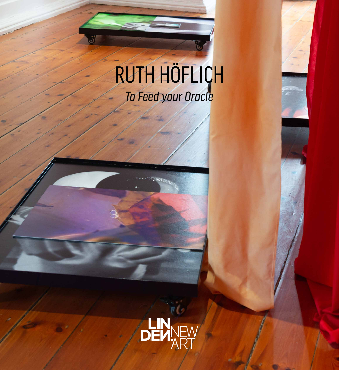# RUTH HÖFLICH *To Feed your Oracle*

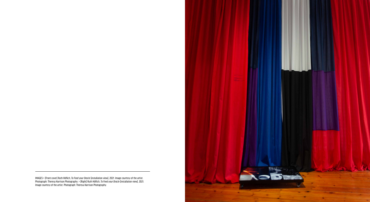IMAGES > [Front cover] Ruth Höflich, *To Feed your Oracle* [installation view], 2021. Image courtesy of the artist. Photograph: Theresa Harrison Photography. > [Right] Ruth Höflich, *To Feed your Oracle* [installation view], 2021. Image courtesy of the artist. Photograph: Theresa Harrison Photography.

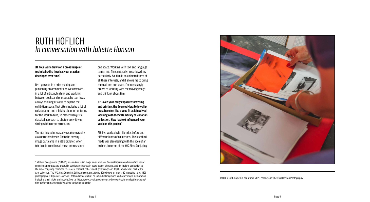

IMAGE > Ruth Höflich in her studio, 2021. Photograph: Theresa Harrison Photography.

#### **JH: Your work draws on a broad range of technical skills, how has your practice developed over time?**

RH: I grew up in a print making and publishing environment and was involved in a lot of artist publishing and working between books and photography too. I was always thinking of ways to expand the exhibition space. That often included a lot of collaboration and thinking about other forms for the work to take, so rather than just a classical approach to photography it was sitting within other structures.

The starting point was always photography as a narrative device. Then the moving image part came in a little bit later, when I felt I could combine all these interests into

one space. Working with text and language comes into films naturally, in scriptwriting particularly. So, film is an animated form of all these interests, and it allows me to bring them all into one space. I'm increasingly drawn to working with the moving image and thinking about film.

**JH: Given your early exposure to writing and printing, the Georges Mora Fellowship must have felt like a good fit as it involved working with the State Library of Victoria's collection. How has text influenced your work on this project?**

RH: I've worked with libraries before and different kinds of collections. The last film I made was also dealing with this idea of an archive. In terms of the WG Alma Conjuring

### RUTH HÖFLICH *In conversation with Juliette Hanson*

1 William George Alma (1904–93) was an Australian magician as well as a fine craftsperson and manufacturer of conjuring apparatus and props. His passionate interest in every aspect of magic, and his lifelong dedication to the art of conjuring combined to create a research collection of great range and depth, now held as part of the Arts collection. The WG Alma Conjuring Collection contains around 2000 books on magic, 60 magazine titles, 1500 photographs, 300 posters, over 400 detailed research files on individual magicians, and other magic memorabilia, including small tricks and models. [Source](https://www.slv.vic.gov.au/search-discover/explore-collections-theme/film-performing-arts/magic/wg-alma-conjuring-collection ). https://www.slv.vic.gov.au/search-discover/explore-collections-theme/ film-performing-arts/magic/wg-alma-conjuring-collection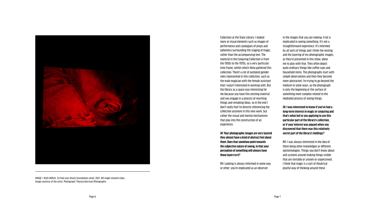

IMAGE > Ruth Höflich, *To Feed your Oracle* [installation view], 2021. HD single-channel video. Image courtesy of the artist. Photograph: Theresa Harrison Photography.

Collection at the State Library, I looked more at visual elements such as images of performance and catalogues of props and ephemera surrounding the staging of magic, rather than the accompanying text. The material in the Conjuring Collection is from the 1950s to the 1970s, so a very particular time frame, within which Alma gathered this collection. There's a lot of outdated gender roles represented in this collection, such as the male magician with the female assistant that I wasn't interested in working with. But the library as a space was interesting for me because you have this existing material and you engage in a process of rewriting things and remaking ideas, so in the end I don't really feel I'm directly referencing the collection anymore in this new work, but rather the visual and mental mechanisms that play into the construction of an experience.

**JH: Your photographic images are very layered they almost have a kind of abstract feel about them. Does that somehow point towards the subjective nature of seeing, in that your perception of something will always have those layers to it?** 

RH: Looking is always informed in some way or other; you're implicated as an observer

in the images that you are making. A lot is implicated in seeing something. It's not a straightforward experience. It's informed by all sorts of things and I think the nesting and the layering of my photographic images, as they're presented in this show, allow me to play with that. They often depict quite ordinary things like coffee cups and household items. The photographs start with simple observations and then they become more abstracted. I'm trying to go beyond the medium in some ways, so the photograph is only the beginning or the surface of something more complex related to the mediated process of seeing things.

**JH: I was interested to know if you've had a long-term interest in magic or conjuring and that's what led to you applying to use this particular part of the library's collection, or if your interest was piqued when you discovered that there was this relatively secret part of the library's holdings?**

RH: I was always interested in the idea of there being other knowledges or different epistemologies. Things you don't know about and systems around making things visible that are invisible or unseen or unperceived. I think that magic is a sort of theatrical playful way of thinking around these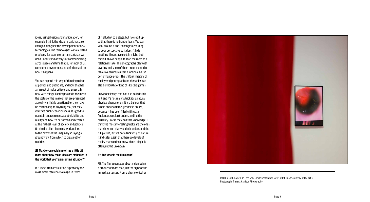IMAGE > Ruth Höflich, *To Feed your Oracle* [installation view], 2021. Image courtesy of the artist. Photograph: Theresa Harrison Photography.

ideas, using illusion and manipulation, for example. I think the idea of magic has also changed alongside the development of new technologies. The technologies we've created produces, for example, certain surfaces we don't understand or ways of communicating across space and time that is, for most of us, completely mysterious and unfathomable in how it happens.

You can expand this way of thinking to look at politics and public life, and how that has an aspect of make believe, and especially now with things like deep fakes in the media, the status of the images that are presented as reality is highly questionable, they have no relationship to anything real, yet they infiltrate public consciousness. It's good to maintain an awareness about visibility and reality and how it's performed and created at the highest level of society and politics. On the flip-side, I hope my work points to the power of the imaginary in laying a groundwork from which to create other realities.

**JH: Maybe you could um tell me a little bit more about how those ideas are embodied in the work that you're presenting at Linden?**

RH: The curtain installation is probably the most direct reference to magic in terms

of it alluding to a stage, but I've set it up so that there is no front or back. You can walk around it and it changes according to your perspective so it doesn't hide anything like a stage curtain might, but I think it allows people to read the room as a relational stage. The photographs play with layering and some of them are presented on table-like structures that function a bit ike performance props. The shifting imagery of the layered photographs on the tables can also be thought of kind of like card games.

I have one image that has a so-called trick in it and it's not really a trick it's a natural physical phenomenon. It is a balloon that is held above a flame, yet doesn't burst, because it has been filled with water. Audiences wouldn't understanding the causality unless they had that knowledge. I think the most interesting tricks are the ones that show you that you don't understand the full picture, but it's not a trick it's just nature. It indicates again that there are levels of reality that we don't know about. Magic is often just the unknown.

#### **JH: And what is the film about?**

RH: The film speculates about vision being a product of more than just the sight or the immediate senses. From a physiological or

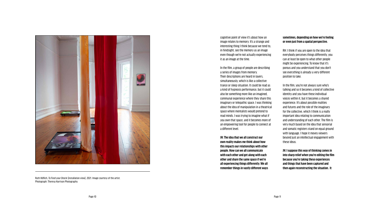

Ruth Höflich, *To Feed your Oracle* [installation view], 2021. Image courtesy of the artist. Photograph: Theresa Harrison Photography.

cognitive point of view it's about how an image relates to memory. It's a strange and interesting thing I think because we tend to, in hindsight, see the memory as an image even though we're not actually experiencing it as an image at the time.

In the film, a group of people are describing a series of images from memory. Their descriptions are heard in layers, simultaneously, which is like a collective trance or sleep situation. It could be read as a kind of hypnosis performance, but it could also be something more like an imagined, communal experience where they share this imaginary or telepathic space. I was thinking about the idea of manipulation in a theatrical space where mentalists would pretend to read minds. I was trying to imagine what if you own that space, and it becomes more of an empowering tool for people to connect at a different level.

**JH: The idea that we all construct our own reality makes me think about how this impacts our relationships with other people. How can we all communicate with each other and get along with each other and share the same space if we're all experiencing things differently. We all remember things in vastly different ways** 

#### **sometimes, depending on how we're feeling or even just from a spatial perspective.**

RH: I think if you are open to the idea that everybody perceives things differently, you can at least be open to what other people might be experiencing. To know that it's porous and you understand that you don't see everything is already a very different position to take.

In the film, you're not always sure who's talking and so it becomes a kind of collective identity and you have these individual voices within it, but it becomes a shared experience. It's about possible realities and futures and the role of the imaginary for the collective, which I think is a really important idea relating to communication and understanding of each other. The film is very much based on the idea that sensorial and somatic registers stand on equal ground with language. I hope it moves viewers beyond just an intellectual engagement with these ideas.

**JH: I suppose this way of thinking comes in into sharp relief when you're editing the film because you're taking these experiences and things that have been captured and then again reconstructing the situation. It**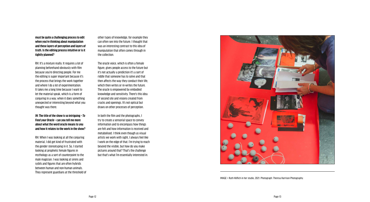

IMAGE > Ruth Höflich in her studio, 2021. Photograph: Theresa Harrison Photography.

**must be quite a challenging process to edit when you're thinking about manipulation and these layers of perception and layers of truth. Is the editing process intuitive or is it tightly planned?** 

RH: It's a mixture really. It requires a lot of planning beforehand obviously with film because you're directing people. For me the editing is super important because it's the process that brings the work together and where I do a lot of experimentation. It takes me a long time because I want to let the material speak, which is a form of conjuring in a way, when it does something unexpected or interesting beyond what you thought was there.

**JH: The title of the show is so intriguing –** *To Feed your Oracle* **– can you tell me more about what the word oracle means to you and how it relates to the work in the show?**

RH: When I was looking at all the conjuring material, I did get kind of frustrated with the gender stereotyping in it. So, I started looking at prophetic female figures in mythology as a sort of counterpoint to the male magician. I was looking at sirens and sybils and figures that are often hybrids between human and non-human animals. They represent guardians at the threshold of other types of knowledge, for example they can often see into the future. I thought that was an interesting contrast to this idea of manipulation that often comes through in the collection.

The oracle voice, which is often a female figure, gives people access to the future but it's not actually a prediction it's a sort of riddle that someone has to solve and that then affects the way they conduct their life, which then writes or re-writes the future. The oracle is empowered by embodied knowledge and sensitivity. There's this idea of second site and visions created from cracks and openings. It's not optical but draws on other processes of perception.

In both the film and the photographs, I try to create a sensorial space to convey information and to encompass how things are felt and how information is received and metabolised. I think even though as visual artists we work with sight, I always feel like I work on the edge of that. I'm trying to reach beyond the visible, but how do you make pictures around that? That's the challenge but that's what I'm essentially interested in.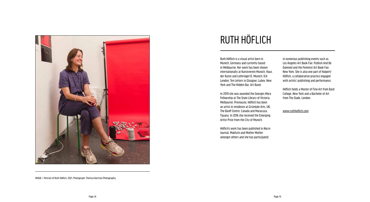Ruth Höflich is a visual artist born in Munich, Germany and currently based in Melbourne. Her work has been shown internationally at Kunstverein Munich, Haus der Kunst and Lothringer13, Munich; ICA London, Ten Letters in Glasgow; Lubov, New York and The Hidden Bar, Art Basel.

In 2019 she was awarded the Georges Mora Fellowship at The State Library of Victoria, Melbourne. Previously, Höflich has been an artist in residence at Grizedale Arts, UK, The Banff Centre, Canada and Maracuya, Tijuana. In 2016 she received the Emerging Artist Prize from the City of Munich.

Höflich's work has been published in *Nacre* Journal, Makhzin and *Mother Mother* amongst others and she has participated

in numerous publishing events such as Los Angeles Art Book Fair, Publish And Be Damned and the Feminist Art Book Fair, New York. She is also one part of Halpert/ Höflich, a collaborative practice engaged with artists' publishing and performance.

Höflich holds a Master of Fine Art from Bard College, New York and a Bachelor of Art from The Slade, London.

[www.ruthhoflich.com](https://www.ruthhoflich.com/)



## RUTH HÖFLICH

IMAGE > Portrait of Ruth Höflich, 2021. Photograph: Theresa Harrison Photography.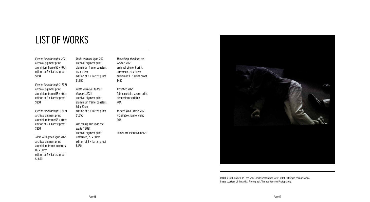*Eyes to look through 1*, 2021 archival pigment print, aluminium frame 55 x 40cm edition of 2 + 1 artist proof \$850

*Eyes to look through 2*, 2021 archival pigment print, aluminium frame 55 x 40cm edition of 2 + 1 artist proof \$850

*Eyes to look through 3*, 2021 archival pigment print, aluminium frame 55 x 40cm edition of 2 + 1 artist proof \$850

*Table with green light*, 2021 archival pigment print, aluminium frame, coasters, 85 x 60cm edition of 2 + 1 artist proof \$1,650

*Table with red light*, 2021 archival pigment print, aluminium frame, coasters, 85 x 60cm edition of 2 + 1 artist proof \$1,650

*Table with eyes to look through*, 2021 archival pigment print, aluminium frame, coasters, 85 x 60cm edition of 2 + 1 artist proof \$1,650

*The ceiling, the floor, the walls 1*, 2021 archival pigment print, unframed, 70 x 50cm edition of 3 + 1 artist proof \$450

*The ceiling, the floor, the walls 2*, 2021 archival pigment print, unframed, 70 x 50cm edition of 3 + 1 artist proof \$450

*Traveller*, 2021 fabric curtain, screen print, dimensions variable POA

*To Feed your Oracle*, 2021 HD single-channel video POA

Prices are inclusive of GST



### LIST OF WORKS

IMAGE > Ruth Höflich, *To Feed your Oracle* [installation view], 2021. HD single-channel video. Image courtesy of the artist. Photograph: Theresa Harrison Photography.